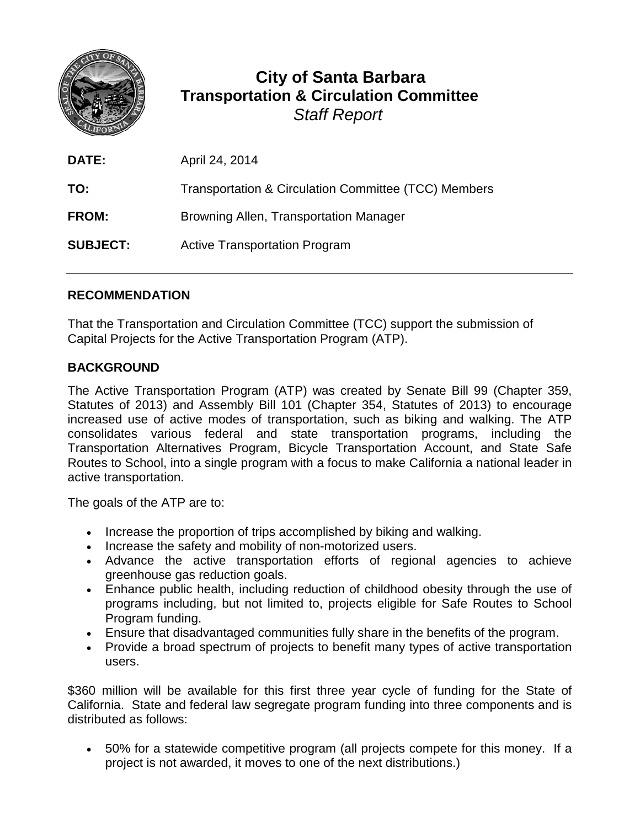

## **City of Santa Barbara Transportation & Circulation Committee** *Staff Report*

| <b>DATE:</b>    | April 24, 2014                                       |
|-----------------|------------------------------------------------------|
| TO:             | Transportation & Circulation Committee (TCC) Members |
| <b>FROM:</b>    | Browning Allen, Transportation Manager               |
| <b>SUBJECT:</b> | <b>Active Transportation Program</b>                 |

## **RECOMMENDATION**

That the Transportation and Circulation Committee (TCC) support the submission of Capital Projects for the Active Transportation Program (ATP).

## **BACKGROUND**

The Active Transportation Program (ATP) was created by [Senate Bill 99 \(Chapter 359,](http://www.catc.ca.gov/programs/ATP/SB_99_2013.pdf)  [Statutes of 2013\)](http://www.catc.ca.gov/programs/ATP/SB_99_2013.pdf) and [Assembly Bill 101 \(Chapter 354, Statutes of 2013\)](http://www.catc.ca.gov/programs/ATP/AB_101_2013.pdf) to encourage increased use of active modes of transportation, such as biking and walking. The ATP consolidates various federal and state transportation programs, including the Transportation Alternatives Program, Bicycle Transportation Account, and State Safe Routes to School, into a single program with a focus to make California a national leader in active transportation.

The goals of the ATP are to:

- Increase the proportion of trips accomplished by biking and walking.
- Increase the safety and mobility of non-motorized users.
- Advance the active transportation efforts of regional agencies to achieve greenhouse gas reduction goals.
- Enhance public health, including reduction of childhood obesity through the use of programs including, but not limited to, projects eligible for Safe Routes to School Program funding.
- Ensure that disadvantaged communities fully share in the benefits of the program.
- Provide a broad spectrum of projects to benefit many types of active transportation users.

\$360 million will be available for this first three year cycle of funding for the State of California. State and federal law segregate program funding into three components and is distributed as follows:

• 50% for a statewide competitive program (all projects compete for this money. If a project is not awarded, it moves to one of the next distributions.)